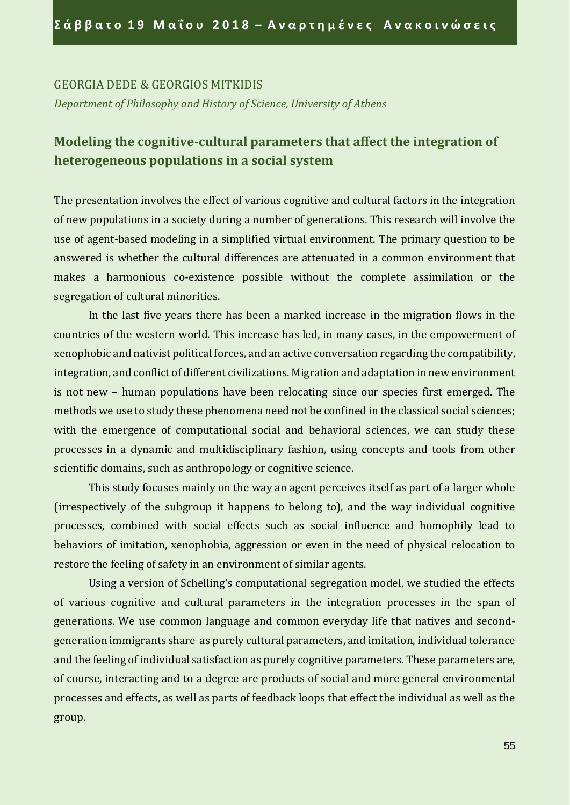#### GEORGIA DEDE & GEORGIOS MITKIDIS

*Department οf Philosophy and History οf Science, University οf Athens*

## **Modeling the cognitive-cultural parameters that affect the integration of heterogeneous populations in a social system**

The presentation involves the effect of various cognitive and cultural factors in the integration of new populations in a society during a number of generations. This research will involve the use of agent-based modeling in a simplified virtual environment. The primary question to be answered is whether the cultural differences are attenuated in a common environment that makes a harmonious co-existence possible without the complete assimilation or the segregation of cultural minorities.

In the last five years there has been a marked increase in the migration flows in the countries of the western world. This increase has led, in many cases, in the empowerment of xenophobic and nativist political forces, and an active conversation regarding the compatibility, integration, and conflict of different civilizations. Migration and adaptation in new environment is not new – human populations have been relocating since our species first emerged. The methods we use to study these phenomena need not be confined in the classical social sciences; with the emergence of computational social and behavioral sciences, we can study these processes in a dynamic and multidisciplinary fashion, using concepts and tools from other scientific domains, such as anthropology or cognitive science.

This study focuses mainly on the way an agent perceives itself as part of a larger whole (irrespectively of the subgroup it happens to belong to), and the way individual cognitive processes, combined with social effects such as social influence and homophily lead to behaviors of imitation, xenophobia, aggression or even in the need of physical relocation to restore the feeling of safety in an environment of similar agents.

Using a version of Schelling's computational segregation model, we studied the effects of various cognitive and cultural parameters in the integration processes in the span of generations. We use common language and common everyday life that natives and secondgeneration immigrants share as purely cultural parameters, and imitation, individual tolerance and the feeling of individual satisfaction as purely cognitive parameters. These parameters are, of course, interacting and to a degree are products of social and more general environmental processes and effects, as well as parts of feedback loops that effect the individual as well as the group.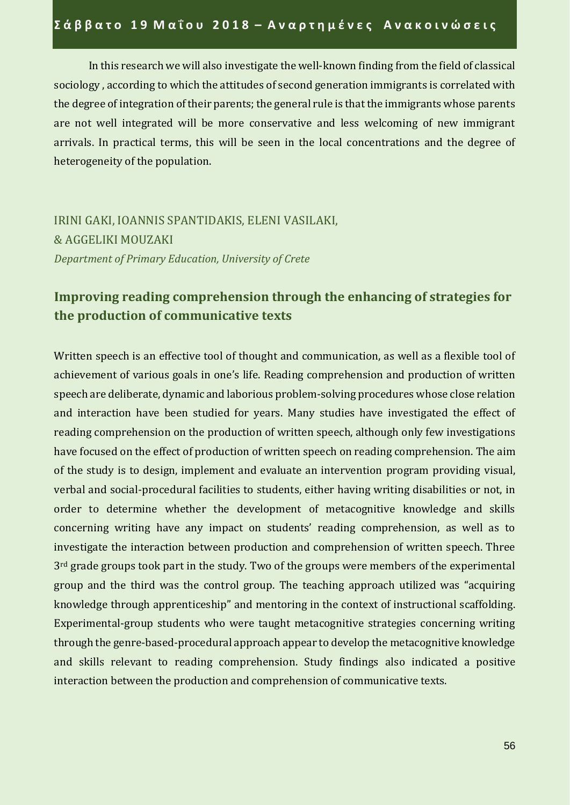In this research we will also investigate the well-known finding from the field of classical sociology , according to which the attitudes of second generation immigrants is correlated with the degree of integration of their parents; the general rule is that the immigrants whose parents are not well integrated will be more conservative and less welcoming of new immigrant arrivals. In practical terms, this will be seen in the local concentrations and the degree of heterogeneity of the population.

IRINI GAKI, IOANNIS SPANTIDAKIS, ELENI VASILAKI, & AGGELIKI MOUZAKI *Department οf Primary Education, University οf Crete*

## **Improving reading comprehension through the enhancing of strategies for the production of communicative texts**

Written speech is an effective tool of thought and communication, as well as a flexible tool of achievement of various goals in one's life. Reading comprehension and production of written speech are deliberate, dynamic and laborious problem-solving procedures whose close relation and interaction have been studied for years. Many studies have investigated the effect of reading comprehension on the production of written speech, although only few investigations have focused on the effect of production of written speech on reading comprehension. The aim of the study is to design, implement and evaluate an intervention program providing visual, verbal and social-procedural facilities to students, either having writing disabilities or not, in order to determine whether the development of metacognitive knowledge and skills concerning writing have any impact on students' reading comprehension, as well as to investigate the interaction between production and comprehension of written speech. Three 3<sup>rd</sup> grade groups took part in the study. Two of the groups were members of the experimental group and the third was the control group. The teaching approach utilized was "acquiring knowledge through apprenticeship" and mentoring in the context of instructional scaffolding. Experimental-group students who were taught metacognitive strategies concerning writing through the genre-based-procedural approach appear to develop the metacognitive knowledge and skills relevant to reading comprehension. Study findings also indicated a positive interaction between the production and comprehension of communicative texts.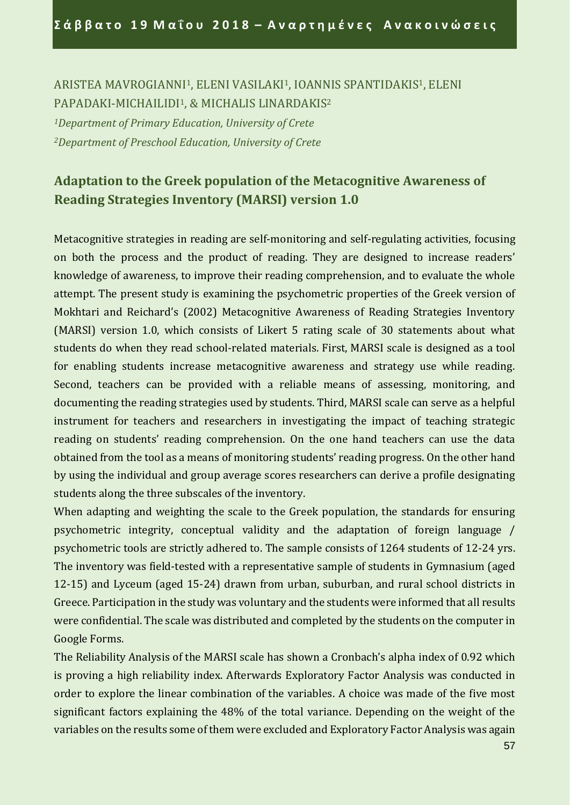ARISTEA MAVROGIANNI1, ELENI VASILAKI1, IOANNIS SPANTIDAKIS1, ELENI PAPADAKI-MICHAILIDI<sup>1</sup>, & MICHALIS LINARDAKIS<sup>2</sup>

*<sup>1</sup>Department of Primary Education, University of Crete <sup>2</sup>Department of Preschool Education, University of Crete*

# **Adaptation to the Greek population of the Metacognitive Awareness of Reading Strategies Inventory (MARSI) version 1.0**

Metacognitive strategies in reading are self-monitoring and self-regulating activities, focusing on both the process and the product of reading. They are designed to increase readers' knowledge of awareness, to improve their reading comprehension, and to evaluate the whole attempt. The present study is examining the psychometric properties of the Greek version of Mokhtari and Reichard's (2002) Metacognitive Awareness of Reading Strategies Inventory (MARSI) version 1.0, which consists of Likert 5 rating scale of 30 statements about what students do when they read school-related materials. First, MARSI scale is designed as a tool for enabling students increase metacognitive awareness and strategy use while reading. Second, teachers can be provided with a reliable means of assessing, monitoring, and documenting the reading strategies used by students. Third, MARSI scale can serve as a helpful instrument for teachers and researchers in investigating the impact of teaching strategic reading on students' reading comprehension. On the one hand teachers can use the data obtained from the tool as a means of monitoring students' reading progress. On the other hand by using the individual and group average scores researchers can derive a profile designating students along the three subscales of the inventory.

When adapting and weighting the scale to the Greek population, the standards for ensuring psychometric integrity, conceptual validity and the adaptation of foreign language / psychometric tools are strictly adhered to. The sample consists of 1264 students of 12-24 yrs. Τhe inventory was field-tested with a representative sample of students in Gymnasium (aged 12-15) and Lyceum (aged 15-24) drawn from urban, suburban, and rural school districts in Greece. Participation in the study was voluntary and the students were informed that all results were confidential. The scale was distributed and completed by the students on the computer in Google Forms.

The Reliability Analysis of the MARSI scale has shown a Cronbach's alpha index of 0.92 which is proving a high reliability index. Afterwards Exploratory Factor Analysis was conducted in order to explore the linear combination of the variables. A choice was made of the five most significant factors explaining the 48% of the total variance. Depending on the weight of the variables on the results some of them were excluded and Exploratory Factor Analysis was again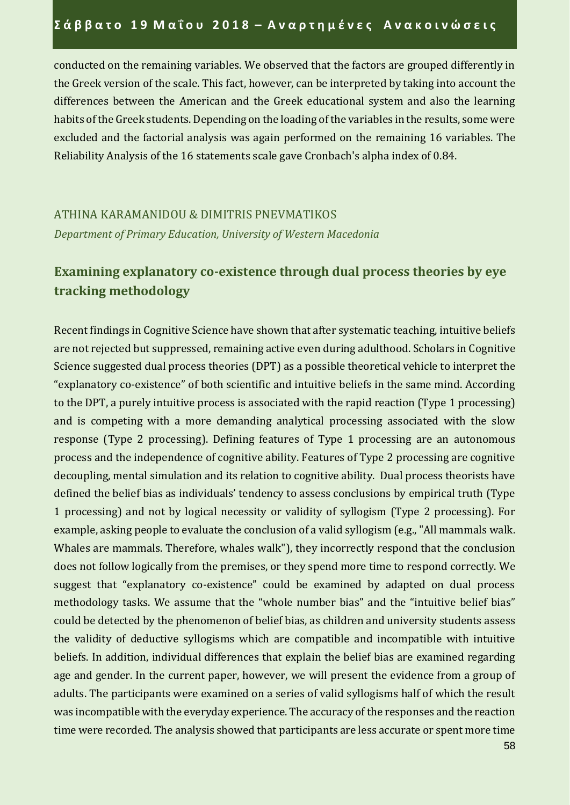conducted on the remaining variables. We observed that the factors are grouped differently in the Greek version of the scale. This fact, however, can be interpreted by taking into account the differences between the American and the Greek educational system and also the learning habits of the Greek students. Depending on the loading of the variables in the results, some were excluded and the factorial analysis was again performed on the remaining 16 variables. The Reliability Analysis of the 16 statements scale gave Cronbach's alpha index of 0.84.

## ATHINA KARAMANIDOU & DIMITRIS PNEVMATIKOS *Department of Primary Education, University of Western Macedonia*

# **Examining explanatory co-existence through dual process theories by eye tracking methodology**

Recent findings in Cognitive Science have shown that after systematic teaching, intuitive beliefs are not rejected but suppressed, remaining active even during adulthood. Scholars in Cognitive Science suggested dual process theories (DPT) as a possible theoretical vehicle to interpret the "explanatory co-existence" of both scientific and intuitive beliefs in the same mind. According to the DPT, a purely intuitive process is associated with the rapid reaction (Type 1 processing) and is competing with a more demanding analytical processing associated with the slow response (Type 2 processing). Defining features of Type 1 processing are an autonomous process and the independence of cognitive ability. Features of Type 2 processing are cognitive decoupling, mental simulation and its relation to cognitive ability. Dual process theorists have defined the belief bias as individuals' tendency to assess conclusions by empirical truth (Type 1 processing) and not by logical necessity or validity of syllogism (Type 2 processing). For example, asking people to evaluate the conclusion of a valid syllogism (e.g., "All mammals walk. Whales are mammals. Therefore, whales walk"), they incorrectly respond that the conclusion does not follow logically from the premises, or they spend more time to respond correctly. We suggest that "explanatory co-existence" could be examined by adapted on dual process methodology tasks. We assume that the "whole number bias" and the "intuitive belief bias" could be detected by the phenomenon of belief bias, as children and university students assess the validity of deductive syllogisms which are compatible and incompatible with intuitive beliefs. In addition, individual differences that explain the belief bias are examined regarding age and gender. In the current paper, however, we will present the evidence from a group of adults. The participants were examined on a series of valid syllogisms half of which the result was incompatible with the everyday experience. The accuracy of the responses and the reaction time were recorded. The analysis showed that participants are less accurate or spent more time